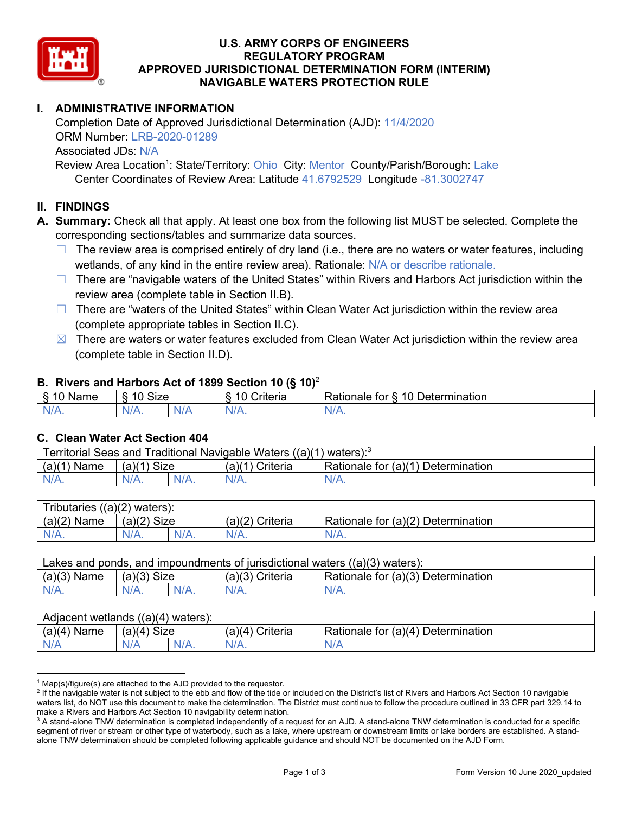

## **U.S. ARMY CORPS OF ENGINEERS REGULATORY PROGRAM APPROVED JURISDICTIONAL DETERMINATION FORM (INTERIM) NAVIGABLE WATERS PROTECTION RULE**

# **I. ADMINISTRATIVE INFORMATION**

Completion Date of Approved Jurisdictional Determination (AJD): 11/4/2020 ORM Number: LRB-2020-01289 Associated JDs: N/A Review Area Location<sup>1</sup>: State/Territory: Ohio City: Mentor County/Parish/Borough: Lake Center Coordinates of Review Area: Latitude 41.6792529 Longitude -81.3002747

### **II. FINDINGS**

**A. Summary:** Check all that apply. At least one box from the following list MUST be selected. Complete the corresponding sections/tables and summarize data sources.

- $\Box$  The review area is comprised entirely of dry land (i.e., there are no waters or water features, including wetlands, of any kind in the entire review area). Rationale: N/A or describe rationale.
- $\Box$  There are "navigable waters of the United States" within Rivers and Harbors Act jurisdiction within the review area (complete table in Section II.B).
- $\Box$  There are "waters of the United States" within Clean Water Act jurisdiction within the review area (complete appropriate tables in Section II.C).
- $\boxtimes$  There are waters or water features excluded from Clean Water Act jurisdiction within the review area (complete table in Section II.D).

### **B. Rivers and Harbors Act of 1899 Section 10 (§ 10)**<sup>2</sup>

| $\cdot$                                   |                                         |     |                                         |                                                                               |  |
|-------------------------------------------|-----------------------------------------|-----|-----------------------------------------|-------------------------------------------------------------------------------|--|
| δ.<br>$\sqrt{2}$<br>.<br>vanie<br>٠J<br>- | <b>Size</b><br>$\Lambda$ $\Lambda$<br>c |     | 1 C<br>$"$ ritorio<br><b>UIL</b><br>. . | $\overline{\phantom{a}}$<br>10<br>∪etermınatıon<br>------<br>tor<br>kationale |  |
| $N/A$ .                                   | 97 A .                                  | NIA | N/L<br>17 L                             | 11 I N.                                                                       |  |

### **C. Clean Water Act Section 404**

| Traditional Navigable Waters ((a)(1)<br>Territorial Seas and<br>waters): <sup>3</sup> |               |  |                    |                                         |  |
|---------------------------------------------------------------------------------------|---------------|--|--------------------|-----------------------------------------|--|
| (a)'<br>Name                                                                          | Size<br>(a)(1 |  | (a)(1)<br>Criteria | Rationale for (a)(1) D<br>Determination |  |
|                                                                                       | $N/A$ .       |  | N/A.               | $N/A$ .                                 |  |

| $((a)(2)$ waters):<br><b>ributaries</b> |                |         |                    |                                    |  |  |
|-----------------------------------------|----------------|---------|--------------------|------------------------------------|--|--|
| (a)(2)<br>Name                          | Size<br>(a)(2) |         | (a)(2)<br>Criteria | Rationale for (a)(2) Determination |  |  |
| $N/A$ .                                 | $N/A$ .        | $N/A$ . | $N/A$ .            | N/A.                               |  |  |

| Lakes and ponds, and impoundments of jurisdictional waters $((a)(3)$ waters): |               |  |                   |                                    |  |
|-------------------------------------------------------------------------------|---------------|--|-------------------|------------------------------------|--|
| $(a)(3)$ Name                                                                 | $(a)(3)$ Size |  | $(a)(3)$ Criteria | Rationale for (a)(3) Determination |  |
| $N/A$ .                                                                       | $N/A$ .       |  | $N/A$ .           | $N/A$ .                            |  |

| ((a)(4)<br>Adjacent wetlands<br>waters): |                |            |                   |                                    |  |  |
|------------------------------------------|----------------|------------|-------------------|------------------------------------|--|--|
| (a)(4)<br>Name                           | Size<br>(a)(4) |            | Criteria<br>(a)(4 | Rationale for (a)(4) Determination |  |  |
| N/A                                      | N/A            | $\sqrt{2}$ | $N/A$ .           | N/A                                |  |  |

 $1$  Map(s)/figure(s) are attached to the AJD provided to the requestor.

<sup>&</sup>lt;sup>2</sup> If the navigable water is not subject to the ebb and flow of the tide or included on the District's list of Rivers and Harbors Act Section 10 navigable waters list, do NOT use this document to make the determination. The District must continue to follow the procedure outlined in 33 CFR part 329.14 to make a Rivers and Harbors Act Section 10 navigability determination.

 $3$  A stand-alone TNW determination is completed independently of a request for an AJD. A stand-alone TNW determination is conducted for a specific segment of river or stream or other type of waterbody, such as a lake, where upstream or downstream limits or lake borders are established. A standalone TNW determination should be completed following applicable guidance and should NOT be documented on the AJD Form.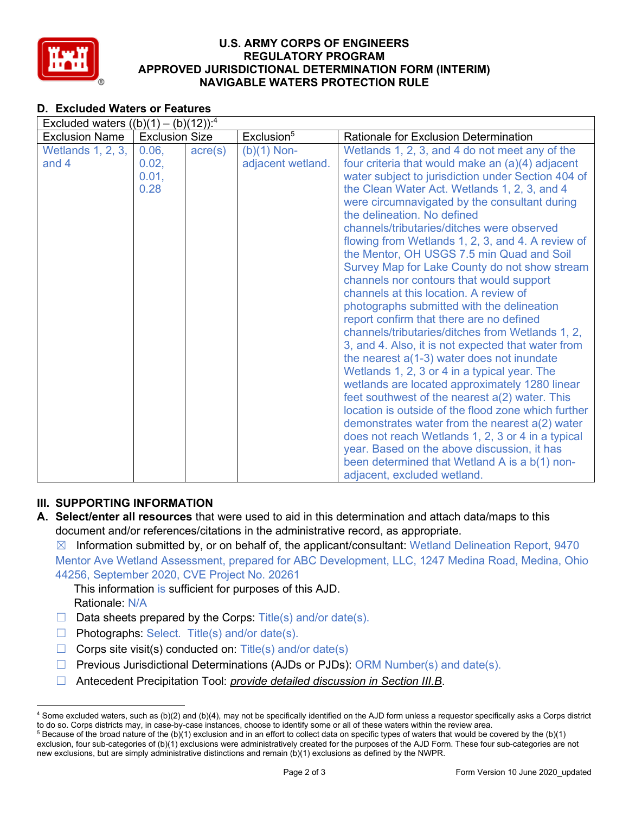

## **U.S. ARMY CORPS OF ENGINEERS REGULATORY PROGRAM APPROVED JURISDICTIONAL DETERMINATION FORM (INTERIM) NAVIGABLE WATERS PROTECTION RULE**

# **D. Excluded Waters or Features**

| Excluded waters $((b)(1) - (b)(12))$ : <sup>4</sup> |                       |                  |                        |                                                     |  |
|-----------------------------------------------------|-----------------------|------------------|------------------------|-----------------------------------------------------|--|
| <b>Exclusion Name</b>                               | <b>Exclusion Size</b> |                  | Exclusion <sup>5</sup> | Rationale for Exclusion Determination               |  |
| Wetlands 1, 2, 3,                                   | 0.06,                 | $\text{acre}(s)$ | $(b)(1)$ Non-          | Wetlands 1, 2, 3, and 4 do not meet any of the      |  |
| and $4$                                             | 0.02,                 |                  | adjacent wetland.      | four criteria that would make an (a)(4) adjacent    |  |
|                                                     | 0.01,                 |                  |                        | water subject to jurisdiction under Section 404 of  |  |
|                                                     | 0.28                  |                  |                        | the Clean Water Act. Wetlands 1, 2, 3, and 4        |  |
|                                                     |                       |                  |                        | were circumnavigated by the consultant during       |  |
|                                                     |                       |                  |                        | the delineation. No defined                         |  |
|                                                     |                       |                  |                        | channels/tributaries/ditches were observed          |  |
|                                                     |                       |                  |                        | flowing from Wetlands 1, 2, 3, and 4. A review of   |  |
|                                                     |                       |                  |                        | the Mentor, OH USGS 7.5 min Quad and Soil           |  |
|                                                     |                       |                  |                        | Survey Map for Lake County do not show stream       |  |
|                                                     |                       |                  |                        | channels nor contours that would support            |  |
|                                                     |                       |                  |                        | channels at this location. A review of              |  |
|                                                     |                       |                  |                        | photographs submitted with the delineation          |  |
|                                                     |                       |                  |                        | report confirm that there are no defined            |  |
|                                                     |                       |                  |                        | channels/tributaries/ditches from Wetlands 1, 2,    |  |
|                                                     |                       |                  |                        | 3, and 4. Also, it is not expected that water from  |  |
|                                                     |                       |                  |                        | the nearest $a(1-3)$ water does not inundate        |  |
|                                                     |                       |                  |                        | Wetlands 1, 2, 3 or 4 in a typical year. The        |  |
|                                                     |                       |                  |                        | wetlands are located approximately 1280 linear      |  |
|                                                     |                       |                  |                        | feet southwest of the nearest a(2) water. This      |  |
|                                                     |                       |                  |                        | location is outside of the flood zone which further |  |
|                                                     |                       |                  |                        | demonstrates water from the nearest $a(2)$ water    |  |
|                                                     |                       |                  |                        | does not reach Wetlands 1, 2, 3 or 4 in a typical   |  |
|                                                     |                       |                  |                        | year. Based on the above discussion, it has         |  |
|                                                     |                       |                  |                        | been determined that Wetland A is a b(1) non-       |  |
|                                                     |                       |                  |                        | adjacent, excluded wetland.                         |  |

## **III. SUPPORTING INFORMATION**

**A. Select/enter all resources** that were used to aid in this determination and attach data/maps to this document and/or references/citations in the administrative record, as appropriate.

 $\boxtimes$  Information submitted by, or on behalf of, the applicant/consultant: Wetland Delineation Report, 9470 Mentor Ave Wetland Assessment, prepared for ABC Development, LLC, 1247 Medina Road, Medina, Ohio 44256, September 2020, CVE Project No. 20261

This information is sufficient for purposes of this AJD. Rationale: N/A

- $\Box$  Data sheets prepared by the Corps: Title(s) and/or date(s).
- $\Box$  Photographs: Select. Title(s) and/or date(s).
- $\Box$  Corps site visit(s) conducted on: Title(s) and/or date(s)
- $\Box$  Previous Jurisdictional Determinations (AJDs or PJDs): ORM Number(s) and date(s).
- ☐ Antecedent Precipitation Tool: *provide detailed discussion in Section III.B*.

<sup>4</sup> Some excluded waters, such as (b)(2) and (b)(4), may not be specifically identified on the AJD form unless a requestor specifically asks a Corps district to do so. Corps districts may, in case-by-case instances, choose to identify some or all of these waters within the review area.  $5$  Because of the broad nature of the (b)(1) exclusion and in an effort to collect data on specific types of waters that would be covered by the (b)(1)

exclusion, four sub-categories of (b)(1) exclusions were administratively created for the purposes of the AJD Form. These four sub-categories are not new exclusions, but are simply administrative distinctions and remain (b)(1) exclusions as defined by the NWPR.